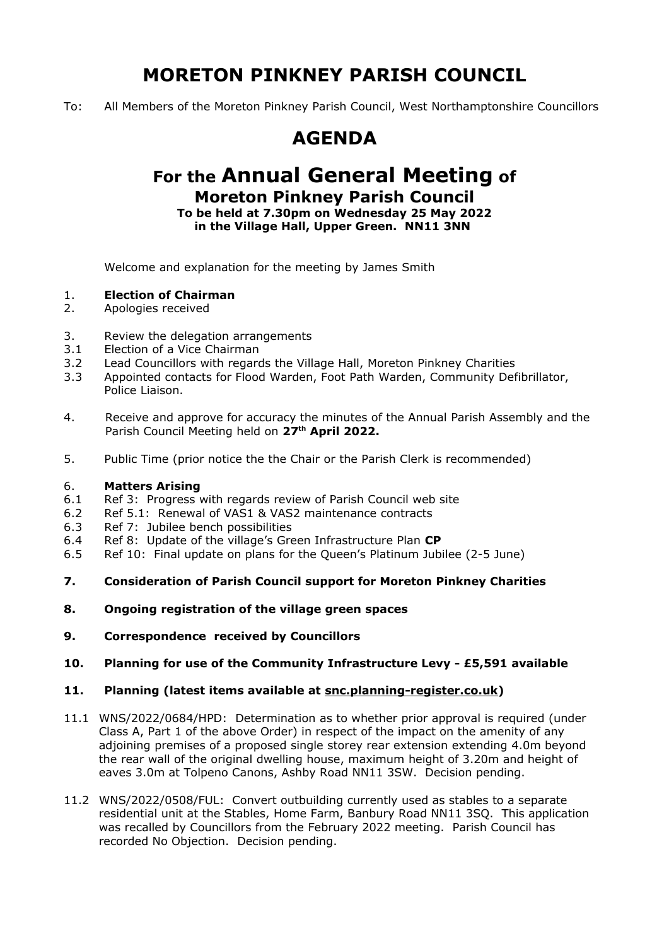# **MORETON PINKNEY PARISH COUNCIL**

To: All Members of the Moreton Pinkney Parish Council, West Northamptonshire Councillors

## **AGENDA**

### **For the Annual General Meeting of Moreton Pinkney Parish Council**

**To be held at 7.30pm on Wednesday 25 May 2022 in the Village Hall, Upper Green. NN11 3NN** 

Welcome and explanation for the meeting by James Smith

#### 1. **Election of Chairman**

- 2. Apologies received
- 3. Review the delegation arrangements
- 3.1 Election of a Vice Chairman
- 3.2 Lead Councillors with regards the Village Hall, Moreton Pinkney Charities
- 3.3 Appointed contacts for Flood Warden, Foot Path Warden, Community Defibrillator, Police Liaison.
- 4. Receive and approve for accuracy the minutes of the Annual Parish Assembly and the Parish Council Meeting held on **27th April 2022.**
- 5. Public Time (prior notice the the Chair or the Parish Clerk is recommended)

#### 6. **Matters Arising**

- 6.1 Ref 3: Progress with regards review of Parish Council web site
- 6.2 Ref 5.1: Renewal of VAS1 & VAS2 maintenance contracts
- 6.3 Ref 7: Jubilee bench possibilities
- 6.4 Ref 8: Update of the village's Green Infrastructure Plan **CP**
- 6.5 Ref 10: Final update on plans for the Queen's Platinum Jubilee (2-5 June)
- **7. Consideration of Parish Council support for Moreton Pinkney Charities**
- **8. Ongoing registration of the village green spaces**
- **9. Correspondence received by Councillors**
- **10. Planning for use of the Community Infrastructure Levy £5,591 available**

#### **11. Planning (latest items available at snc.planning-register.co.uk)**

- 11.1 WNS/2022/0684/HPD: Determination as to whether prior approval is required (under Class A, Part 1 of the above Order) in respect of the impact on the amenity of any adjoining premises of a proposed single storey rear extension extending 4.0m beyond the rear wall of the original dwelling house, maximum height of 3.20m and height of eaves 3.0m at Tolpeno Canons, Ashby Road NN11 3SW. Decision pending.
- 11.2 WNS/2022/0508/FUL: Convert outbuilding currently used as stables to a separate residential unit at the Stables, Home Farm, Banbury Road NN11 3SQ. This application was recalled by Councillors from the February 2022 meeting. Parish Council has recorded No Objection. Decision pending.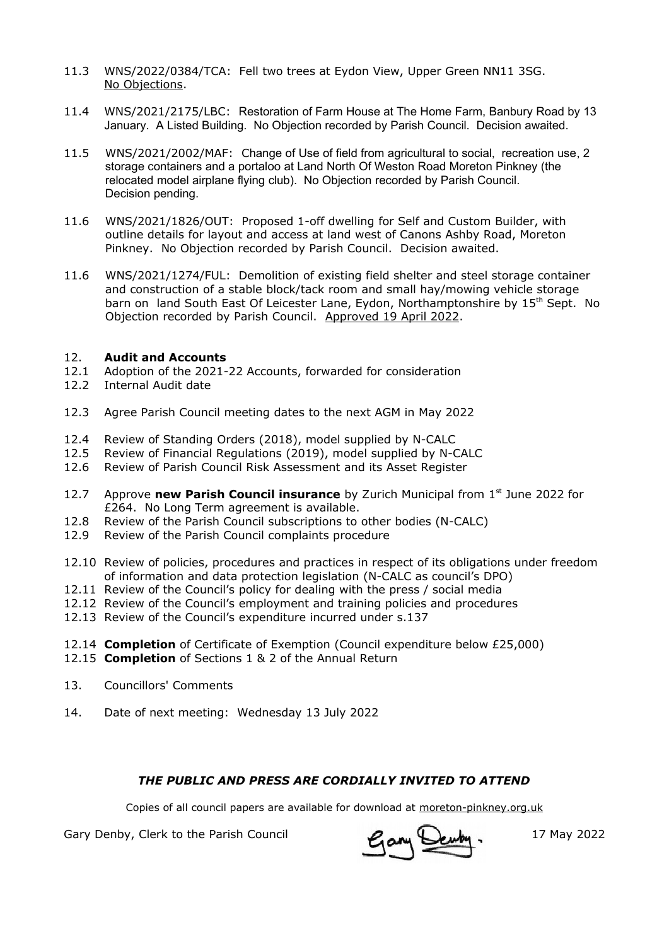- 11.3 WNS/2022/0384/TCA: Fell two trees at Eydon View, Upper Green NN11 3SG. No Objections.
- 11.4 WNS/2021/2175/LBC: Restoration of Farm House at The Home Farm, Banbury Road by 13 January. A Listed Building. No Objection recorded by Parish Council. Decision awaited.
- 11.5 WNS/2021/2002/MAF: Change of Use of field from agricultural to social, recreation use, 2 storage containers and a portaloo at Land North Of Weston Road Moreton Pinkney (the relocated model airplane flying club). No Objection recorded by Parish Council. Decision pending.
- 11.6 WNS/2021/1826/OUT: Proposed 1-off dwelling for Self and Custom Builder, with outline details for layout and access at land west of Canons Ashby Road, Moreton Pinkney. No Objection recorded by Parish Council. Decision awaited.
- 11.6 WNS/2021/1274/FUL: Demolition of existing field shelter and steel storage container and construction of a stable block/tack room and small hay/mowing vehicle storage barn on land South East Of Leicester Lane, Eydon, Northamptonshire by 15<sup>th</sup> Sept. No Objection recorded by Parish Council. Approved 19 April 2022.

#### 12. **Audit and Accounts**

- 12.1 Adoption of the 2021-22 Accounts, forwarded for consideration
- 12.2 Internal Audit date
- 12.3 Agree Parish Council meeting dates to the next AGM in May 2022
- 12.4 Review of Standing Orders (2018), model supplied by N-CALC
- 12.5 Review of Financial Regulations (2019), model supplied by N-CALC
- 12.6 Review of Parish Council Risk Assessment and its Asset Register
- 12.7 Approve **new Parish Council insurance** by Zurich Municipal from 1<sup>st</sup> June 2022 for £264. No Long Term agreement is available.
- 12.8 Review of the Parish Council subscriptions to other bodies (N-CALC)
- 12.9 Review of the Parish Council complaints procedure
- 12.10 Review of policies, procedures and practices in respect of its obligations under freedom of information and data protection legislation (N-CALC as council's DPO)
- 12.11 Review of the Council's policy for dealing with the press / social media
- 12.12 Review of the Council's employment and training policies and procedures
- 12.13 Review of the Council's expenditure incurred under s.137
- 12.14 **Completion** of Certificate of Exemption (Council expenditure below £25,000)
- 12.15 **Completion** of Sections 1 & 2 of the Annual Return
- 13. Councillors' Comments
- 14. Date of next meeting: Wednesday 13 July 2022

### *THE PUBLIC AND PRESS ARE CORDIALLY INVITED TO ATTEND*

Copies of all council papers are available for download at moreton-pinkney.org.uk